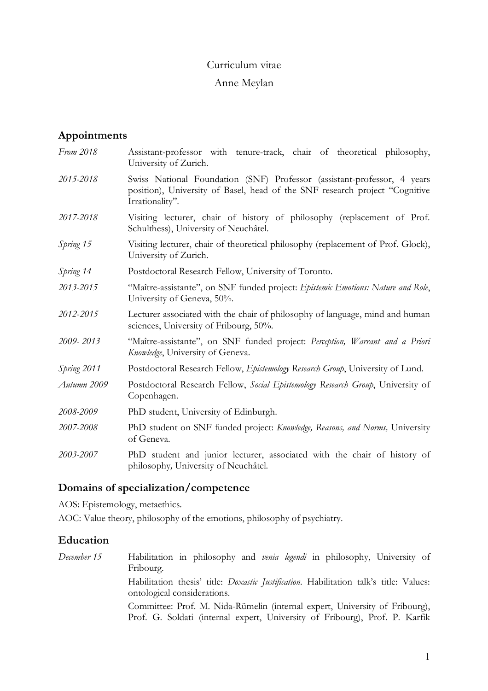## Curriculum vitae

## Anne Meylan

# **Appointments**

*From 2018* Assistant-professor with tenure-track, chair of theoretical philosophy, University of Zurich. *2015-2018* Swiss National Foundation (SNF) Professor (assistant-professor, 4 years position), University of Basel, head of the SNF research project "Cognitive Irrationality". *2017-2018* Visiting lecturer, chair of history of philosophy (replacement of Prof. Schulthess), University of Neuchâtel. *Spring 15* Visiting lecturer, chair of theoretical philosophy (replacement of Prof. Glock), University of Zurich. *Spring 14* Postdoctoral Research Fellow, University of Toronto. *2013-2015* "Maître-assistante", on SNF funded project: *Epistemic Emotions: Nature and Role*, University of Geneva, 50%. *2012*-*2015* Lecturer associated with the chair of philosophy of language, mind and human sciences, University of Fribourg, 50%. *2009- 2013* "Maître-assistante", on SNF funded project: *Perception, Warrant and a Priori Knowledge*, University of Geneva. *Spring 2011* Postdoctoral Research Fellow, *Epistemology Research Group*, University of Lund. *Autumn 2009* Postdoctoral Research Fellow, *Social Epistemology Research Group*, University of Copenhagen. *2008-2009* PhD student, University of Edinburgh. *2007-2008* PhD student on SNF funded project: *Knowledge, Reasons, and Norms,* University of Geneva. *2003-2007* PhD student and junior lecturer, associated with the chair of history of philosophy*,* University of Neuchâtel.

## **Domains of specialization/competence**

AOS: Epistemology, metaethics.

AOC: Value theory, philosophy of the emotions, philosophy of psychiatry.

## **Education**

*December 15* Habilitation in philosophy and *venia legendi* in philosophy, University of Fribourg. Habilitation thesis' title: *Doxastic Justification*. Habilitation talk's title: Values: ontological considerations. Committee: Prof. M. Nida-Rümelin (internal expert, University of Fribourg), Prof. G. Soldati (internal expert, University of Fribourg), Prof. P. Karfik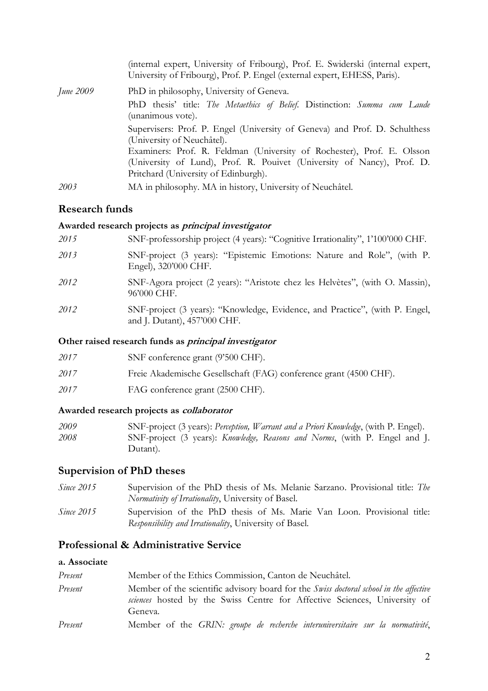|           | (internal expert, University of Fribourg), Prof. E. Swiderski (internal expert,<br>University of Fribourg), Prof. P. Engel (external expert, EHESS, Paris). |
|-----------|-------------------------------------------------------------------------------------------------------------------------------------------------------------|
| June 2009 | PhD in philosophy, University of Geneva.<br>PhD thesis' title: The Metaethics of Belief. Distinction: Summa cum Laude                                       |
|           | (unanimous vote).                                                                                                                                           |
|           | Supervisers: Prof. P. Engel (University of Geneva) and Prof. D. Schulthess<br>(University of Neuchâtel).                                                    |
|           | Examiners: Prof. R. Feldman (University of Rochester), Prof. E. Olsson                                                                                      |
|           | (University of Lund), Prof. R. Pourvet (University of Nancy), Prof. D.                                                                                      |
|           | Pritchard (University of Edinburgh).                                                                                                                        |
| 2003      | MA in philosophy. MA in history, University of Neuchâtel.                                                                                                   |

## **Research funds**

#### **Awarded research projects as principal investigator**

| 2015 | SNF-professorship project (4 years): "Cognitive Irrationality", 1'100'000 CHF.                              |
|------|-------------------------------------------------------------------------------------------------------------|
| 2013 | SNF-project (3 years): "Epistemic Emotions: Nature and Role", (with P.<br>Engel), 320'000 CHF.              |
| 2012 | SNF-Agora project (2 years): "Aristote chez les Helvètes", (with O. Massin),<br>96'000 CHF.                 |
| 2012 | SNF-project (3 years): "Knowledge, Evidence, and Practice", (with P. Engel,<br>and J. Dutant), 457'000 CHF. |

#### **Other raised research funds as principal investigator**

| 2017 | SNF conference grant (9'500 CHF).                                 |
|------|-------------------------------------------------------------------|
| 2017 | Freie Akademische Gesellschaft (FAG) conference grant (4500 CHF). |
| 2017 | FAG conference grant (2500 CHF).                                  |

### **Awarded research projects as collaborator**

| 2009 | SNF-project (3 years): Perception, Warrant and a Priori Knowledge, (with P. Engel). |
|------|-------------------------------------------------------------------------------------|
| 2008 | SNF-project (3 years): <i>Knowledge, Reasons and Norms</i> , (with P. Engel and J.  |
|      | Dutant).                                                                            |

## **Supervision of PhD theses**

*Since 2015* Supervision of the PhD thesis of Ms. Melanie Sarzano. Provisional title: *The Normativity of Irrationality*, University of Basel. *Since 2015* Supervision of the PhD thesis of Ms. Marie Van Loon. Provisional title: *Responsibility and Irrationality*, University of Basel.

## **Professional & Administrative Service**

## **a. Associate**

| Present | Member of the Ethics Commission, Canton de Neuchâtel.                                                                                                                          |
|---------|--------------------------------------------------------------------------------------------------------------------------------------------------------------------------------|
| Present | Member of the scientific advisory board for the Swiss doctoral school in the affective<br>sciences hosted by the Swiss Centre for Affective Sciences, University of<br>Geneva. |
| Present | Member of the GRIN: groupe de recherche interuniversitaire sur la normativité,                                                                                                 |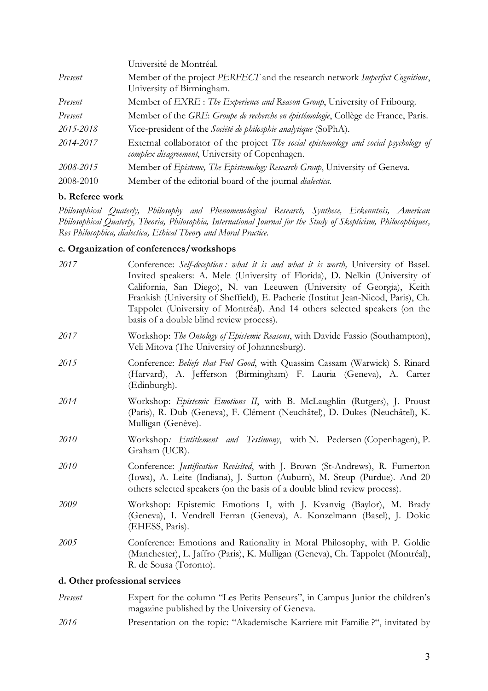|           | Université de Montréal.                                                                                                                  |
|-----------|------------------------------------------------------------------------------------------------------------------------------------------|
| Present   | Member of the project PERFECT and the research network Imperfect Cognitions,<br>University of Birmingham.                                |
| Present   | Member of EXRE : The Experience and Reason Group, University of Fribourg.                                                                |
| Present   | Member of the GRE: Groupe de recherche en épistémologie, Collège de France, Paris.                                                       |
| 2015-2018 | Vice-president of the Société de philosphie analytique (SoPhA).                                                                          |
| 2014-2017 | External collaborator of the project The social epistemology and social psychology of<br>complex disagreement, University of Copenhagen. |
| 2008-2015 | Member of Episteme, The Epistemology Research Group, University of Geneva.                                                               |
| 2008-2010 | Member of the editorial board of the journal <i>dialectica</i> .                                                                         |

#### **b. Referee work**

*Philosophical Quaterly, Philosophy and Phenomenological Research, Synthese, Erkenntnis, American Philosophical Quaterly, Theoria, Philosophia, International Journal for the Study of Skepticism, Philosophiques, Res Philosophica, dialectica, Ethical Theory and Moral Practice.*

#### **c. Organization of conferences/workshops**

| 2017 | Conference: Self-deception : what it is and what it is worth, University of Basel.<br>Invited speakers: A. Mele (University of Florida), D. Nelkin (University of<br>California, San Diego), N. van Leeuwen (University of Georgia), Keith<br>Frankish (University of Sheffield), E. Pacherie (Institut Jean-Nicod, Paris), Ch.<br>Tappolet (University of Montréal). And 14 others selected speakers (on the<br>basis of a double blind review process). |
|------|-----------------------------------------------------------------------------------------------------------------------------------------------------------------------------------------------------------------------------------------------------------------------------------------------------------------------------------------------------------------------------------------------------------------------------------------------------------|
| 2017 | Workshop: The Ontology of Epistemic Reasons, with Davide Fassio (Southampton),<br>Veli Mitova (The University of Johannesburg).                                                                                                                                                                                                                                                                                                                           |
| 2015 | Conference: Beliefs that Feel Good, with Quassim Cassam (Warwick) S. Rinard<br>(Harvard), A. Jefferson (Birmingham) F. Lauria (Geneva), A. Carter<br>(Edinburgh).                                                                                                                                                                                                                                                                                         |
| 2014 | Workshop: Epistemic Emotions II, with B. McLaughlin (Rutgers), J. Proust<br>(Paris), R. Dub (Geneva), F. Clément (Neuchâtel), D. Dukes (Neuchâtel), K.<br>Mulligan (Genève).                                                                                                                                                                                                                                                                              |
| 2010 | Workshop: <i>Entitlement and Testimony</i> , with N. Pedersen (Copenhagen), P.<br>Graham (UCR).                                                                                                                                                                                                                                                                                                                                                           |
| 2010 | Conference: <i>Justification Revisited</i> , with J. Brown (St-Andrews), R. Fumerton<br>(Iowa), A. Leite (Indiana), J. Sutton (Auburn), M. Steup (Purdue). And 20<br>others selected speakers (on the basis of a double blind review process).                                                                                                                                                                                                            |
| 2009 | Workshop: Epistemic Emotions I, with J. Kvanvig (Baylor), M. Brady<br>(Geneva), I. Vendrell Ferran (Geneva), A. Konzelmann (Basel), J. Dokic<br>(EHESS, Paris).                                                                                                                                                                                                                                                                                           |
| 2005 | Conference: Emotions and Rationality in Moral Philosophy, with P. Goldie<br>(Manchester), L. Jaffro (Paris), K. Mulligan (Geneva), Ch. Tappolet (Montréal),<br>R. de Sousa (Toronto).                                                                                                                                                                                                                                                                     |
|      |                                                                                                                                                                                                                                                                                                                                                                                                                                                           |

#### **d. Other professional services**

- *Present* Expert for the column "Les Petits Penseurs", in Campus Junior the children's magazine published by the University of Geneva.
- *2016* Presentation on the topic: "Akademische Karriere mit Familie ?", invitated by